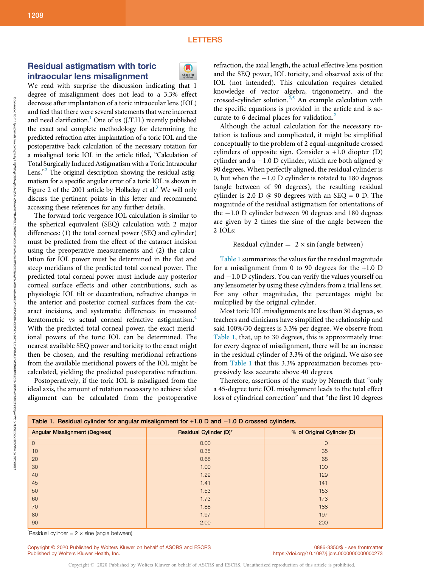## **LETTERS**

# Residual astigmatism with toric intraocular lens misalignment

We read with surprise the discussion indicating that 1 degree of misalignment does not lead to a 3.3% effect decrease after implantation of a toric intraocular lens (IOL) and feel that there were several statements that were incorrect and need clarification.<sup>1</sup> One of us (J.T.H.) recently published the exact and complete methodology for determining the predicted refraction after implantation of a toric IOL and the postoperative back calculation of the necessary rotation for a misaligned toric IOL in the article titled, "Calculation of Total Surgically Induced Astigmatism with a Toric Intraocular Lens."<sup>2</sup> The original description showing the residual astigmatism for a specific angular error of a toric IOL is shown in Figure 2 of the 2001 article by Holladay et al. $3$  We will only discuss the pertinent points in this letter and recommend accessing these references for any further details.

The forward toric vergence IOL calculation is similar to the spherical equivalent (SEQ) calculation with 2 major differences: (1) the total corneal power (SEQ and cylinder) must be predicted from the effect of the cataract incision using the preoperative measurements and (2) the calculation for IOL power must be determined in the flat and steep meridians of the predicted total corneal power. The predicted total corneal power must include any posterior corneal surface effects and other contributions, such as physiologic IOL tilt or decentration, refractive changes in the anterior and posterior corneal surfaces from the cataract incisions, and systematic differences in measured keratometric vs actual corneal refractive astigmatism.<sup>4</sup> With the predicted total corneal power, the exact meridional powers of the toric IOL can be determined. The nearest available SEQ power and toricity to the exact might then be chosen, and the resulting meridional refractions from the available meridional powers of the IOL might be calculated, yielding the predicted postoperative refraction.

Postoperatively, if the toric IOL is misaligned from the ideal axis, the amount of rotation necessary to achieve ideal alignment can be calculated from the postoperative



refraction, the axial length, the actual effective lens position and the SEQ power, IOL toricity, and observed axis of the IOL (not intended). This calculation requires detailed knowledge of vector algebra, trigonometry, and the crossed-cylinder solution.<sup>2,5</sup> An example calculation with the specific equations is provided in the article and is accurate to 6 decimal places for validation.<sup>2</sup>

Although the actual calculation for the necessary rotation is tedious and complicated, it might be simplified conceptually to the problem of 2 equal-magnitude crossed cylinders of opposite sign. Consider a +1.0 diopter (D) cylinder and a  $-1.0$  D cylinder, which are both aligned  $\omega$ 90 degrees. When perfectly aligned, the residual cylinder is 0, but when the  $-1.0$  D cylinder is rotated to 180 degrees (angle between of 90 degrees), the resulting residual cylinder is 2.0 D  $\omega$  90 degrees with an SEQ = 0 D. The magnitude of the residual astigmatism for orientations of the  $-1.0$  D cylinder between 90 degrees and 180 degrees are given by 2 times the sine of the angle between the 2 IOLs:

Residual cylinder  $= 2 \times \sin(\text{angle between})$ 

Table 1 summarizes the values for the residual magnitude for a misalignment from 0 to 90 degrees for the +1.0 D and  $-1.0$  D cylinders. You can verify the values yourself on any lensometer by using these cylinders from a trial lens set. For any other magnitudes, the percentages might be multiplied by the original cylinder.

Most toric IOL misalignments are less than 30 degrees, so teachers and clinicians have simplified the relationship and said 100%/30 degrees is 3.3% per degree. We observe from Table 1, that, up to 30 degrees, this is approximately true: for every degree of misalignment, there will be an increase in the residual cylinder of 3.3% of the original. We also see from Table 1 that this 3.3% approximation becomes progressively less accurate above 40 degrees.

Therefore, assertions of the study by Nemeth that "only a 45-degree toric IOL misalignment leads to the total effect loss of cylindrical correction" and that "the first 10 degrees

| Table 1. Residual cylinder for angular misalignment for +1.0 D and -1.0 D crossed cylinders. |                        |                            |
|----------------------------------------------------------------------------------------------|------------------------|----------------------------|
| <b>Angular Misalignment (Degrees)</b>                                                        | Residual Cylinder (D)* | % of Original Cylinder (D) |
| $\mathbf{0}$                                                                                 | 0.00                   | $\mathbf 0$                |
| 10                                                                                           | 0.35                   | 35                         |
| 20                                                                                           | 0.68                   | 68                         |
| 30                                                                                           | 1.00                   | 100                        |
| 40                                                                                           | 1.29                   | 129                        |
| 45                                                                                           | 1.41                   | 141                        |
| 50                                                                                           | 1.53                   | 153                        |
| 60                                                                                           | 1.73                   | 173                        |
| 70                                                                                           | 1.88                   | 188                        |
| 80                                                                                           | 1.97                   | 197                        |
| 90                                                                                           | 2.00                   | 200                        |

Copyright © 2020 Published by Wolters Kluwer on behalf of ASCRS and ESCRS. Unauthorized reproduction of this article is prohibited.

 $k$  Residual cylinder = 2  $\times$  sine (angle between).

Copyright © 2020 Published by Wolters Kluwer on behalf of ASCRS and ESCRS Published by Wolters Kluwer Health, Inc.